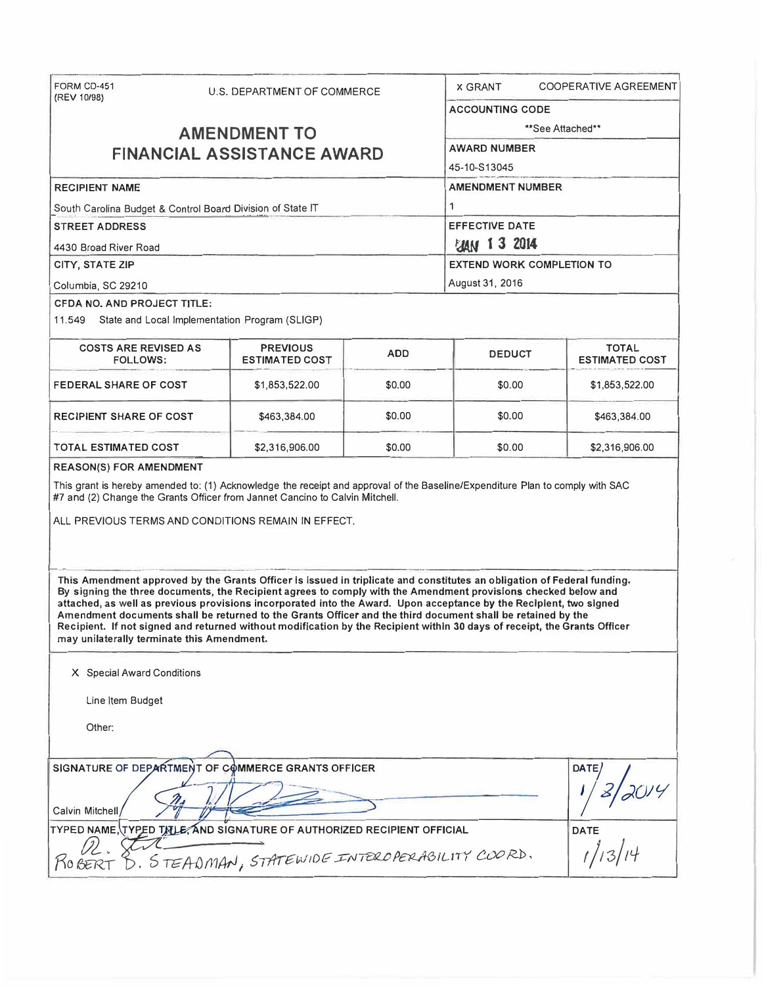| FORM CD-451                                                                                                                                                                                                                                                                                                                                                                                                                                                                                                                                                                                                                                                                                                      |                     | U.S. DEPARTMENT OF COMMERCE                                            |                        | <b>X GRANT</b>        | COOPERATIVE AGREEMENT                 |  |  |  |
|------------------------------------------------------------------------------------------------------------------------------------------------------------------------------------------------------------------------------------------------------------------------------------------------------------------------------------------------------------------------------------------------------------------------------------------------------------------------------------------------------------------------------------------------------------------------------------------------------------------------------------------------------------------------------------------------------------------|---------------------|------------------------------------------------------------------------|------------------------|-----------------------|---------------------------------------|--|--|--|
| (REV 10/98)                                                                                                                                                                                                                                                                                                                                                                                                                                                                                                                                                                                                                                                                                                      |                     |                                                                        | <b>ACCOUNTING CODE</b> |                       |                                       |  |  |  |
|                                                                                                                                                                                                                                                                                                                                                                                                                                                                                                                                                                                                                                                                                                                  | <b>AMENDMENT TO</b> | **See Attached**                                                       |                        |                       |                                       |  |  |  |
|                                                                                                                                                                                                                                                                                                                                                                                                                                                                                                                                                                                                                                                                                                                  |                     | <b>FINANCIAL ASSISTANCE AWARD</b>                                      |                        | <b>AWARD NUMBER</b>   |                                       |  |  |  |
|                                                                                                                                                                                                                                                                                                                                                                                                                                                                                                                                                                                                                                                                                                                  |                     |                                                                        |                        | 45-10-S13045          |                                       |  |  |  |
| <b>RECIPIENT NAME</b>                                                                                                                                                                                                                                                                                                                                                                                                                                                                                                                                                                                                                                                                                            |                     |                                                                        |                        |                       | <b>AMENDMENT NUMBER</b>               |  |  |  |
| South Carolina Budget & Control Board Division of State IT                                                                                                                                                                                                                                                                                                                                                                                                                                                                                                                                                                                                                                                       |                     |                                                                        |                        | 1                     |                                       |  |  |  |
| <b>STREET ADDRESS</b>                                                                                                                                                                                                                                                                                                                                                                                                                                                                                                                                                                                                                                                                                            |                     |                                                                        |                        | <b>EFFECTIVE DATE</b> |                                       |  |  |  |
| 4430 Broad River Road                                                                                                                                                                                                                                                                                                                                                                                                                                                                                                                                                                                                                                                                                            |                     |                                                                        |                        | <b>EVAN 1 3 2014</b>  |                                       |  |  |  |
| CITY, STATE ZIP                                                                                                                                                                                                                                                                                                                                                                                                                                                                                                                                                                                                                                                                                                  |                     |                                                                        |                        |                       | <b>EXTEND WORK COMPLETION TO</b>      |  |  |  |
| Columbia, SC 29210                                                                                                                                                                                                                                                                                                                                                                                                                                                                                                                                                                                                                                                                                               |                     |                                                                        |                        | August 31, 2016       |                                       |  |  |  |
| CFDA NO. AND PROJECT TITLE:                                                                                                                                                                                                                                                                                                                                                                                                                                                                                                                                                                                                                                                                                      |                     |                                                                        |                        |                       |                                       |  |  |  |
| 11.549 State and Local Implementation Program (SLIGP)                                                                                                                                                                                                                                                                                                                                                                                                                                                                                                                                                                                                                                                            |                     |                                                                        |                        |                       |                                       |  |  |  |
| <b>COSTS ARE REVISED AS</b><br>FOLLOWS:                                                                                                                                                                                                                                                                                                                                                                                                                                                                                                                                                                                                                                                                          |                     | <b>PREVIOUS</b><br>ESTIMATED COST                                      | <b>ADD</b>             | <b>DEDUCT</b>         | <b>TOTAL</b><br><b>ESTIMATED COST</b> |  |  |  |
| <b>FEDERAL SHARE OF COST</b>                                                                                                                                                                                                                                                                                                                                                                                                                                                                                                                                                                                                                                                                                     |                     | \$1,853,522.00                                                         | \$0.00                 | \$0.00                | \$1,853,522.00                        |  |  |  |
| <b>RECIPIENT SHARE OF COST</b>                                                                                                                                                                                                                                                                                                                                                                                                                                                                                                                                                                                                                                                                                   |                     | \$463,384.00                                                           | \$0.00                 | \$0.00                | \$463,384.00                          |  |  |  |
| TOTAL ESTIMATED COST                                                                                                                                                                                                                                                                                                                                                                                                                                                                                                                                                                                                                                                                                             |                     | \$2,316,906.00                                                         | \$0.00                 | \$0.00                | \$2,316,906.00                        |  |  |  |
| ALL PREVIOUS TERMS AND CONDITIONS REMAIN IN EFFECT.<br>This Amendment approved by the Grants Officer is issued in triplicate and constitutes an obligation of Federal funding.<br>By signing the three documents, the Recipient agrees to comply with the Amendment provisions checked below and<br>attached, as well as previous provisions incorporated into the Award. Upon acceptance by the Reciplent, two signed<br>Amendment documents shall be returned to the Grants Officer and the third document shall be retained by the<br>Recipient. If not signed and returned without modification by the Recipient within 30 days of receipt, the Grants Officer<br>may unilaterally terminate this Amendment. |                     |                                                                        |                        |                       |                                       |  |  |  |
| X Special Award Conditions                                                                                                                                                                                                                                                                                                                                                                                                                                                                                                                                                                                                                                                                                       |                     |                                                                        |                        |                       |                                       |  |  |  |
| Line Item Budget                                                                                                                                                                                                                                                                                                                                                                                                                                                                                                                                                                                                                                                                                                 |                     |                                                                        |                        |                       |                                       |  |  |  |
| Other:                                                                                                                                                                                                                                                                                                                                                                                                                                                                                                                                                                                                                                                                                                           |                     |                                                                        |                        |                       |                                       |  |  |  |
|                                                                                                                                                                                                                                                                                                                                                                                                                                                                                                                                                                                                                                                                                                                  |                     | SIGNATURE OF DEPARTMENT OF COMMERCE GRANTS OFFICER                     |                        |                       | <b>DATE</b>                           |  |  |  |
| Calvin Mitchell                                                                                                                                                                                                                                                                                                                                                                                                                                                                                                                                                                                                                                                                                                  |                     |                                                                        |                        |                       |                                       |  |  |  |
|                                                                                                                                                                                                                                                                                                                                                                                                                                                                                                                                                                                                                                                                                                                  |                     | TYPED NAME, TYPED TILE, AND SIGNATURE OF AUTHORIZED RECIPIENT OFFICIAL |                        |                       | <b>DATE</b>                           |  |  |  |
| D. STEADMAN, STATEWIDE INTERCPERABILITY COORD.<br>KO BERT                                                                                                                                                                                                                                                                                                                                                                                                                                                                                                                                                                                                                                                        |                     |                                                                        |                        |                       |                                       |  |  |  |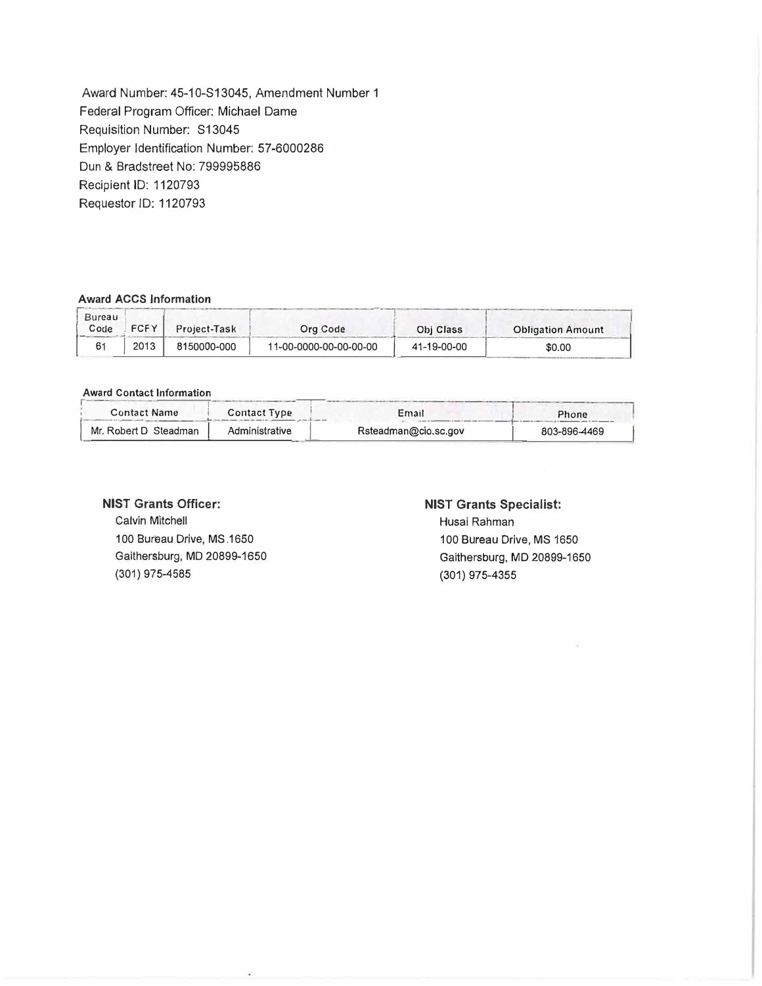Award Number: 45-10-S13045, Amendment Number 1 Federal Program Officer: Michael Dame Requisition Number: S13045 Employer Identification Number: 57-6000286 Dun & Bradstreet No: 799995886 Recipient ID: 1120793 Requestor ID: 1120793

#### **Award ACCS Information**

| <b>Award ACCS Information</b> |             |              |                        |             |                          |  |  |
|-------------------------------|-------------|--------------|------------------------|-------------|--------------------------|--|--|
| Bureau<br>Code                | <b>FCFY</b> | Project-Task | Org Code               | Obj Class   | <b>Obligation Amount</b> |  |  |
| 61                            | 2013        | 8150000-000  | 11-00-0000-00-00-00-00 | 41-19-00-00 | \$0.00                   |  |  |

### **Award Contact Information**

| Awan Oblitact Indianon |                |                      |              |
|------------------------|----------------|----------------------|--------------|
| <b>Contact Name</b>    | Contact Type   | Email                | Phone        |
| Mr. Robert D Steadman  | Administrative | Rsteadman@cio.sc.gov | 803-896-4469 |

## **NIST Grants Officer:**

Calvin Mitchell 100 Bureau Drive, MS.1650 Gaithersburg, MD 20899-1650 (301) 975-4585

# **NIST Grants Specialist:**

Husal Rahman 100 Bureau Drive, MS 1650 Gaithersburg, MD 20899-1650 (301) 975-4355